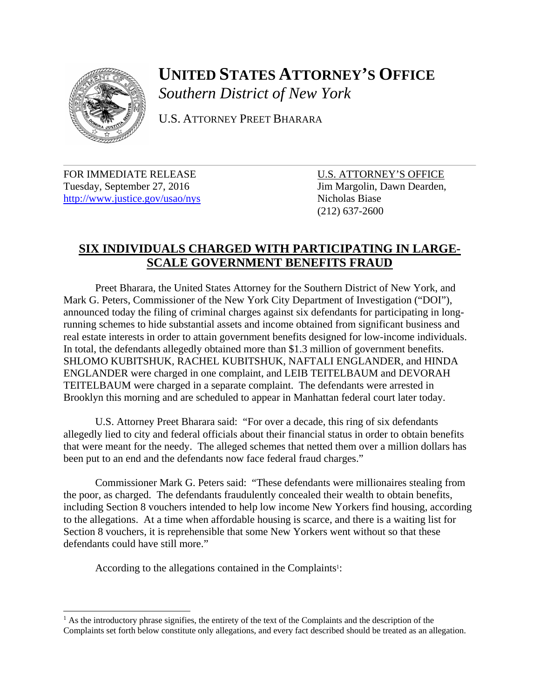

## **UNITED STATES ATTORNEY'S OFFICE** *Southern District of New York*

U.S. ATTORNEY PREET BHARARA

FOR IMMEDIATE RELEASE U.S. ATTORNEY'S OFFICE Tuesday, September 27, 2016 Jim Margolin, Dawn Dearden, http://www.justice.gov/usao/nys Nicholas Biase

(212) 637-2600

## **SIX INDIVIDUALS CHARGED WITH PARTICIPATING IN LARGE-SCALE GOVERNMENT BENEFITS FRAUD**

Preet Bharara, the United States Attorney for the Southern District of New York, and Mark G. Peters, Commissioner of the New York City Department of Investigation ("DOI"), announced today the filing of criminal charges against six defendants for participating in longrunning schemes to hide substantial assets and income obtained from significant business and real estate interests in order to attain government benefits designed for low-income individuals. In total, the defendants allegedly obtained more than \$1.3 million of government benefits. SHLOMO KUBITSHUK, RACHEL KUBITSHUK, NAFTALI ENGLANDER, and HINDA ENGLANDER were charged in one complaint, and LEIB TEITELBAUM and DEVORAH TEITELBAUM were charged in a separate complaint. The defendants were arrested in Brooklyn this morning and are scheduled to appear in Manhattan federal court later today.

U.S. Attorney Preet Bharara said: "For over a decade, this ring of six defendants allegedly lied to city and federal officials about their financial status in order to obtain benefits that were meant for the needy. The alleged schemes that netted them over a million dollars has been put to an end and the defendants now face federal fraud charges."

Commissioner Mark G. Peters said: "These defendants were millionaires stealing from the poor, as charged. The defendants fraudulently concealed their wealth to obtain benefits, including Section 8 vouchers intended to help low income New Yorkers find housing, according to the allegations. At a time when affordable housing is scarce, and there is a waiting list for Section 8 vouchers, it is reprehensible that some New Yorkers went without so that these defendants could have still more."

According to the allegations contained in the Complaints<sup>1</sup>:

<sup>&</sup>lt;sup>1</sup> As the introductory phrase signifies, the entirety of the text of the Complaints and the description of the Complaints set forth below constitute only allegations, and every fact described should be treated as an allegation.